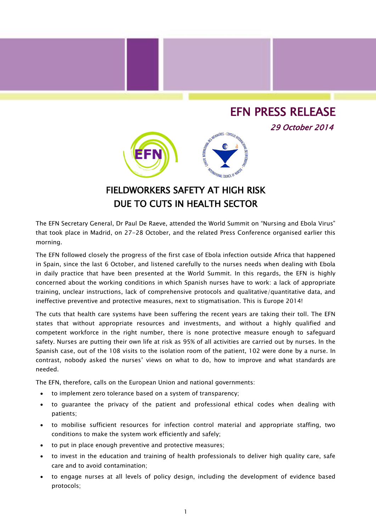## EFN PRESS RELEASE

29 October 2014



## FIELDWORKERS SAFETY AT HIGH RISK DUE TO CUTS IN HEALTH SECTOR

The EFN Secretary General, Dr Paul De Raeve, attended the World Summit on "Nursing and Ebola Virus" that took place in Madrid, on 27-28 October, and the related Press Conference organised earlier this morning.

The EFN followed closely the progress of the first case of Ebola infection outside Africa that happened in Spain, since the last 6 October, and listened carefully to the nurses needs when dealing with Ebola in daily practice that have been presented at the World Summit. In this regards, the EFN is highly concerned about the working conditions in which Spanish nurses have to work: a lack of appropriate training, unclear instructions, lack of comprehensive protocols and qualitative/quantitative data, and ineffective preventive and protective measures, next to stigmatisation. This is Europe 2014!

The cuts that health care systems have been suffering the recent years are taking their toll. The EFN states that without appropriate resources and investments, and without a highly qualified and competent workforce in the right number, there is none protective measure enough to safeguard safety. Nurses are putting their own life at risk as 95% of all activities are carried out by nurses. In the Spanish case, out of the 108 visits to the isolation room of the patient, 102 were done by a nurse. In contrast, nobody asked the nurses' views on what to do, how to improve and what standards are needed.

The EFN, therefore, calls on the European Union and national governments:

- to implement zero tolerance based on a system of transparency;
- to guarantee the privacy of the patient and professional ethical codes when dealing with patients;
- to mobilise sufficient resources for infection control material and appropriate staffing, two conditions to make the system work efficiently and safely;
- to put in place enough preventive and protective measures;
- to invest in the education and training of health professionals to deliver high quality care, safe care and to avoid contamination;
- to engage nurses at all levels of policy design, including the development of evidence based protocols;